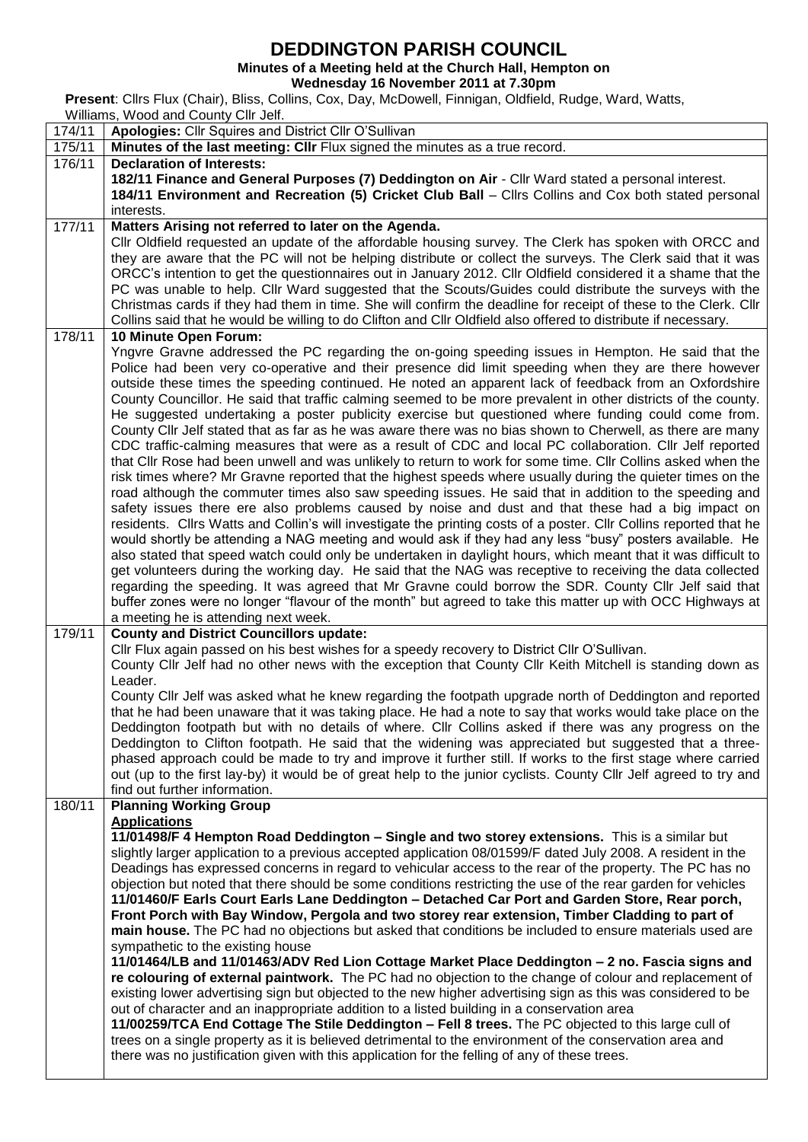## **DEDDINGTON PARISH COUNCIL**<br>Minutes of a Meeting held at the Church Hall, Hempton on

**Minutes of a Meeting held at the Church Hall, Hempton on**

**Wednesday 16 November 2011 at 7.30pm**

**Present**: Cllrs Flux (Chair), Bliss, Collins, Cox, Day, McDowell, Finnigan, Oldfield, Rudge, Ward, Watts, Williams, Wood and County Cllr Jelf.

| 174/11 | $1.000$ and $0.001$ , $0.000$ , $0.000$<br>Apologies: Cllr Squires and District Cllr O'Sullivan                                                                                                            |  |  |  |  |  |
|--------|------------------------------------------------------------------------------------------------------------------------------------------------------------------------------------------------------------|--|--|--|--|--|
| 175/11 | Minutes of the last meeting: CIIr Flux signed the minutes as a true record.                                                                                                                                |  |  |  |  |  |
| 176/11 | <b>Declaration of Interests:</b>                                                                                                                                                                           |  |  |  |  |  |
|        | 182/11 Finance and General Purposes (7) Deddington on Air - Cllr Ward stated a personal interest.                                                                                                          |  |  |  |  |  |
|        | 184/11 Environment and Recreation (5) Cricket Club Ball - Cllrs Collins and Cox both stated personal                                                                                                       |  |  |  |  |  |
|        | interests.                                                                                                                                                                                                 |  |  |  |  |  |
| 177/11 | Matters Arising not referred to later on the Agenda.                                                                                                                                                       |  |  |  |  |  |
|        | Cllr Oldfield requested an update of the affordable housing survey. The Clerk has spoken with ORCC and                                                                                                     |  |  |  |  |  |
|        | they are aware that the PC will not be helping distribute or collect the surveys. The Clerk said that it was                                                                                               |  |  |  |  |  |
|        | ORCC's intention to get the questionnaires out in January 2012. Cllr Oldfield considered it a shame that the                                                                                               |  |  |  |  |  |
|        | PC was unable to help. Cllr Ward suggested that the Scouts/Guides could distribute the surveys with the                                                                                                    |  |  |  |  |  |
|        | Christmas cards if they had them in time. She will confirm the deadline for receipt of these to the Clerk. Cllr                                                                                            |  |  |  |  |  |
|        | Collins said that he would be willing to do Clifton and Cllr Oldfield also offered to distribute if necessary.                                                                                             |  |  |  |  |  |
| 178/11 | 10 Minute Open Forum:                                                                                                                                                                                      |  |  |  |  |  |
|        | Yngvre Gravne addressed the PC regarding the on-going speeding issues in Hempton. He said that the                                                                                                         |  |  |  |  |  |
|        | Police had been very co-operative and their presence did limit speeding when they are there however                                                                                                        |  |  |  |  |  |
|        | outside these times the speeding continued. He noted an apparent lack of feedback from an Oxfordshire                                                                                                      |  |  |  |  |  |
|        | County Councillor. He said that traffic calming seemed to be more prevalent in other districts of the county.                                                                                              |  |  |  |  |  |
|        | He suggested undertaking a poster publicity exercise but questioned where funding could come from.                                                                                                         |  |  |  |  |  |
|        | County Cllr Jelf stated that as far as he was aware there was no bias shown to Cherwell, as there are many                                                                                                 |  |  |  |  |  |
|        | CDC traffic-calming measures that were as a result of CDC and local PC collaboration. Cllr Jelf reported                                                                                                   |  |  |  |  |  |
|        | that Cllr Rose had been unwell and was unlikely to return to work for some time. Cllr Collins asked when the                                                                                               |  |  |  |  |  |
|        | risk times where? Mr Gravne reported that the highest speeds where usually during the quieter times on the                                                                                                 |  |  |  |  |  |
|        | road although the commuter times also saw speeding issues. He said that in addition to the speeding and                                                                                                    |  |  |  |  |  |
|        | safety issues there ere also problems caused by noise and dust and that these had a big impact on                                                                                                          |  |  |  |  |  |
|        | residents. Cllrs Watts and Collin's will investigate the printing costs of a poster. Cllr Collins reported that he                                                                                         |  |  |  |  |  |
|        | would shortly be attending a NAG meeting and would ask if they had any less "busy" posters available. He                                                                                                   |  |  |  |  |  |
|        | also stated that speed watch could only be undertaken in daylight hours, which meant that it was difficult to                                                                                              |  |  |  |  |  |
|        | get volunteers during the working day. He said that the NAG was receptive to receiving the data collected                                                                                                  |  |  |  |  |  |
|        | regarding the speeding. It was agreed that Mr Gravne could borrow the SDR. County Cllr Jelf said that                                                                                                      |  |  |  |  |  |
|        | buffer zones were no longer "flavour of the month" but agreed to take this matter up with OCC Highways at                                                                                                  |  |  |  |  |  |
|        | a meeting he is attending next week.                                                                                                                                                                       |  |  |  |  |  |
| 179/11 | <b>County and District Councillors update:</b>                                                                                                                                                             |  |  |  |  |  |
|        | Cllr Flux again passed on his best wishes for a speedy recovery to District Cllr O'Sullivan.                                                                                                               |  |  |  |  |  |
|        | County Cllr Jelf had no other news with the exception that County Cllr Keith Mitchell is standing down as                                                                                                  |  |  |  |  |  |
|        | Leader.                                                                                                                                                                                                    |  |  |  |  |  |
|        | County CIIr Jelf was asked what he knew regarding the footpath upgrade north of Deddington and reported                                                                                                    |  |  |  |  |  |
|        | that he had been unaware that it was taking place. He had a note to say that works would take place on the                                                                                                 |  |  |  |  |  |
|        | Deddington footpath but with no details of where. Cllr Collins asked if there was any progress on the                                                                                                      |  |  |  |  |  |
|        | Deddington to Clifton footpath. He said that the widening was appreciated but suggested that a three-                                                                                                      |  |  |  |  |  |
|        | phased approach could be made to try and improve it further still. If works to the first stage where carried                                                                                               |  |  |  |  |  |
|        | out (up to the first lay-by) it would be of great help to the junior cyclists. County Cllr Jelf agreed to try and                                                                                          |  |  |  |  |  |
|        | find out further information.                                                                                                                                                                              |  |  |  |  |  |
| 180/11 | <b>Planning Working Group</b>                                                                                                                                                                              |  |  |  |  |  |
|        | <b>Applications</b>                                                                                                                                                                                        |  |  |  |  |  |
|        | 11/01498/F 4 Hempton Road Deddington – Single and two storey extensions. This is a similar but                                                                                                             |  |  |  |  |  |
|        | slightly larger application to a previous accepted application 08/01599/F dated July 2008. A resident in the                                                                                               |  |  |  |  |  |
|        | Deadings has expressed concerns in regard to vehicular access to the rear of the property. The PC has no                                                                                                   |  |  |  |  |  |
|        | objection but noted that there should be some conditions restricting the use of the rear garden for vehicles                                                                                               |  |  |  |  |  |
|        | 11/01460/F Earls Court Earls Lane Deddington - Detached Car Port and Garden Store, Rear porch,                                                                                                             |  |  |  |  |  |
|        | Front Porch with Bay Window, Pergola and two storey rear extension, Timber Cladding to part of                                                                                                             |  |  |  |  |  |
|        | main house. The PC had no objections but asked that conditions be included to ensure materials used are                                                                                                    |  |  |  |  |  |
|        | sympathetic to the existing house                                                                                                                                                                          |  |  |  |  |  |
|        | 11/01464/LB and 11/01463/ADV Red Lion Cottage Market Place Deddington - 2 no. Fascia signs and                                                                                                             |  |  |  |  |  |
|        | re colouring of external paintwork. The PC had no objection to the change of colour and replacement of                                                                                                     |  |  |  |  |  |
|        | existing lower advertising sign but objected to the new higher advertising sign as this was considered to be<br>out of character and an inappropriate addition to a listed building in a conservation area |  |  |  |  |  |
|        | 11/00259/TCA End Cottage The Stile Deddington - Fell 8 trees. The PC objected to this large cull of                                                                                                        |  |  |  |  |  |
|        | trees on a single property as it is believed detrimental to the environment of the conservation area and                                                                                                   |  |  |  |  |  |
|        | there was no justification given with this application for the felling of any of these trees.                                                                                                              |  |  |  |  |  |
|        |                                                                                                                                                                                                            |  |  |  |  |  |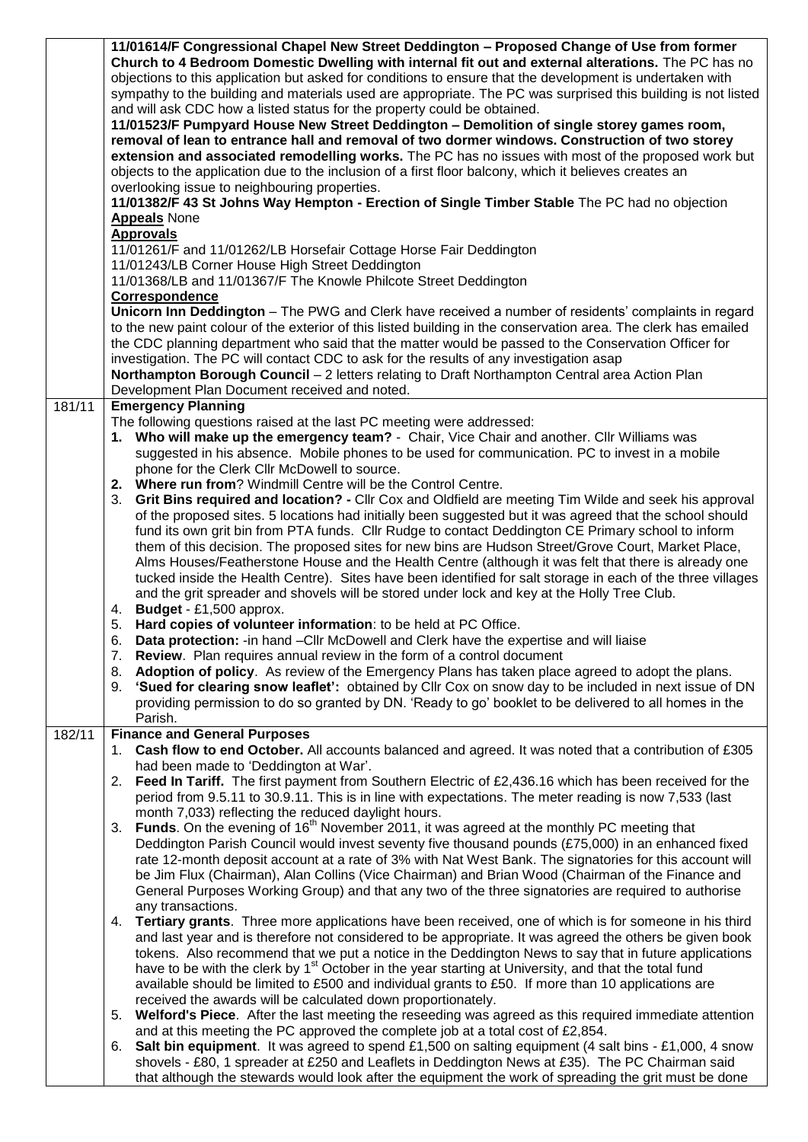|        | 11/01614/F Congressional Chapel New Street Deddington - Proposed Change of Use from former<br>Church to 4 Bedroom Domestic Dwelling with internal fit out and external alterations. The PC has no<br>objections to this application but asked for conditions to ensure that the development is undertaken with<br>sympathy to the building and materials used are appropriate. The PC was surprised this building is not listed<br>and will ask CDC how a listed status for the property could be obtained.<br>11/01523/F Pumpyard House New Street Deddington - Demolition of single storey games room,<br>removal of lean to entrance hall and removal of two dormer windows. Construction of two storey<br>extension and associated remodelling works. The PC has no issues with most of the proposed work but<br>objects to the application due to the inclusion of a first floor balcony, which it believes creates an<br>overlooking issue to neighbouring properties.<br>11/01382/F 43 St Johns Way Hempton - Erection of Single Timber Stable The PC had no objection<br><b>Appeals</b> None<br><b>Approvals</b><br>11/01261/F and 11/01262/LB Horsefair Cottage Horse Fair Deddington |
|--------|------------------------------------------------------------------------------------------------------------------------------------------------------------------------------------------------------------------------------------------------------------------------------------------------------------------------------------------------------------------------------------------------------------------------------------------------------------------------------------------------------------------------------------------------------------------------------------------------------------------------------------------------------------------------------------------------------------------------------------------------------------------------------------------------------------------------------------------------------------------------------------------------------------------------------------------------------------------------------------------------------------------------------------------------------------------------------------------------------------------------------------------------------------------------------------------------|
|        | 11/01243/LB Corner House High Street Deddington<br>11/01368/LB and 11/01367/F The Knowle Philcote Street Deddington                                                                                                                                                                                                                                                                                                                                                                                                                                                                                                                                                                                                                                                                                                                                                                                                                                                                                                                                                                                                                                                                            |
|        | Correspondence<br>Unicorn Inn Deddington - The PWG and Clerk have received a number of residents' complaints in regard                                                                                                                                                                                                                                                                                                                                                                                                                                                                                                                                                                                                                                                                                                                                                                                                                                                                                                                                                                                                                                                                         |
|        | to the new paint colour of the exterior of this listed building in the conservation area. The clerk has emailed<br>the CDC planning department who said that the matter would be passed to the Conservation Officer for<br>investigation. The PC will contact CDC to ask for the results of any investigation asap<br>Northampton Borough Council - 2 letters relating to Draft Northampton Central area Action Plan<br>Development Plan Document received and noted.                                                                                                                                                                                                                                                                                                                                                                                                                                                                                                                                                                                                                                                                                                                          |
| 181/11 | <b>Emergency Planning</b><br>The following questions raised at the last PC meeting were addressed:                                                                                                                                                                                                                                                                                                                                                                                                                                                                                                                                                                                                                                                                                                                                                                                                                                                                                                                                                                                                                                                                                             |
|        | 1. Who will make up the emergency team? - Chair, Vice Chair and another. Cllr Williams was<br>suggested in his absence. Mobile phones to be used for communication. PC to invest in a mobile<br>phone for the Clerk Cllr McDowell to source.<br>2. Where run from? Windmill Centre will be the Control Centre.                                                                                                                                                                                                                                                                                                                                                                                                                                                                                                                                                                                                                                                                                                                                                                                                                                                                                 |
|        | Grit Bins required and location? - Cllr Cox and Oldfield are meeting Tim Wilde and seek his approval<br>3.<br>of the proposed sites. 5 locations had initially been suggested but it was agreed that the school should<br>fund its own grit bin from PTA funds. Cllr Rudge to contact Deddington CE Primary school to inform<br>them of this decision. The proposed sites for new bins are Hudson Street/Grove Court, Market Place,<br>Alms Houses/Featherstone House and the Health Centre (although it was felt that there is already one<br>tucked inside the Health Centre). Sites have been identified for salt storage in each of the three villages<br>and the grit spreader and shovels will be stored under lock and key at the Holly Tree Club.<br>4. Budget - £1,500 approx.                                                                                                                                                                                                                                                                                                                                                                                                        |
|        | 5. Hard copies of volunteer information: to be held at PC Office.<br>Data protection: -in hand - Cllr McDowell and Clerk have the expertise and will liaise                                                                                                                                                                                                                                                                                                                                                                                                                                                                                                                                                                                                                                                                                                                                                                                                                                                                                                                                                                                                                                    |
|        | 6.<br>7. Review. Plan requires annual review in the form of a control document                                                                                                                                                                                                                                                                                                                                                                                                                                                                                                                                                                                                                                                                                                                                                                                                                                                                                                                                                                                                                                                                                                                 |
|        | Adoption of policy. As review of the Emergency Plans has taken place agreed to adopt the plans.<br>8.<br>'Sued for clearing snow leaflet': obtained by Cllr Cox on snow day to be included in next issue of DN<br>9.<br>providing permission to do so granted by DN. 'Ready to go' booklet to be delivered to all homes in the<br>Parish.                                                                                                                                                                                                                                                                                                                                                                                                                                                                                                                                                                                                                                                                                                                                                                                                                                                      |
| 182/11 | <b>Finance and General Purposes</b>                                                                                                                                                                                                                                                                                                                                                                                                                                                                                                                                                                                                                                                                                                                                                                                                                                                                                                                                                                                                                                                                                                                                                            |
|        | Cash flow to end October. All accounts balanced and agreed. It was noted that a contribution of £305<br>1.<br>had been made to 'Deddington at War'.                                                                                                                                                                                                                                                                                                                                                                                                                                                                                                                                                                                                                                                                                                                                                                                                                                                                                                                                                                                                                                            |
|        | 2. Feed In Tariff. The first payment from Southern Electric of £2,436.16 which has been received for the<br>period from 9.5.11 to 30.9.11. This is in line with expectations. The meter reading is now 7,533 (last<br>month 7,033) reflecting the reduced daylight hours.                                                                                                                                                                                                                                                                                                                                                                                                                                                                                                                                                                                                                                                                                                                                                                                                                                                                                                                      |
|        | Funds. On the evening of 16 <sup>th</sup> November 2011, it was agreed at the monthly PC meeting that<br>3.<br>Deddington Parish Council would invest seventy five thousand pounds (£75,000) in an enhanced fixed<br>rate 12-month deposit account at a rate of 3% with Nat West Bank. The signatories for this account will<br>be Jim Flux (Chairman), Alan Collins (Vice Chairman) and Brian Wood (Chairman of the Finance and<br>General Purposes Working Group) and that any two of the three signatories are required to authorise<br>any transactions.                                                                                                                                                                                                                                                                                                                                                                                                                                                                                                                                                                                                                                   |
|        | 4. Tertiary grants. Three more applications have been received, one of which is for someone in his third<br>and last year and is therefore not considered to be appropriate. It was agreed the others be given book<br>tokens. Also recommend that we put a notice in the Deddington News to say that in future applications<br>have to be with the clerk by 1 <sup>st</sup> October in the year starting at University, and that the total fund<br>available should be limited to £500 and individual grants to £50. If more than 10 applications are<br>received the awards will be calculated down proportionately.                                                                                                                                                                                                                                                                                                                                                                                                                                                                                                                                                                         |
|        | Welford's Piece. After the last meeting the reseeding was agreed as this required immediate attention<br>5.<br>and at this meeting the PC approved the complete job at a total cost of £2,854.                                                                                                                                                                                                                                                                                                                                                                                                                                                                                                                                                                                                                                                                                                                                                                                                                                                                                                                                                                                                 |
|        | <b>Salt bin equipment</b> . It was agreed to spend £1,500 on salting equipment (4 salt bins - £1,000, 4 snow<br>6.<br>shovels - £80, 1 spreader at £250 and Leaflets in Deddington News at £35). The PC Chairman said<br>that although the stewards would look after the equipment the work of spreading the grit must be done                                                                                                                                                                                                                                                                                                                                                                                                                                                                                                                                                                                                                                                                                                                                                                                                                                                                 |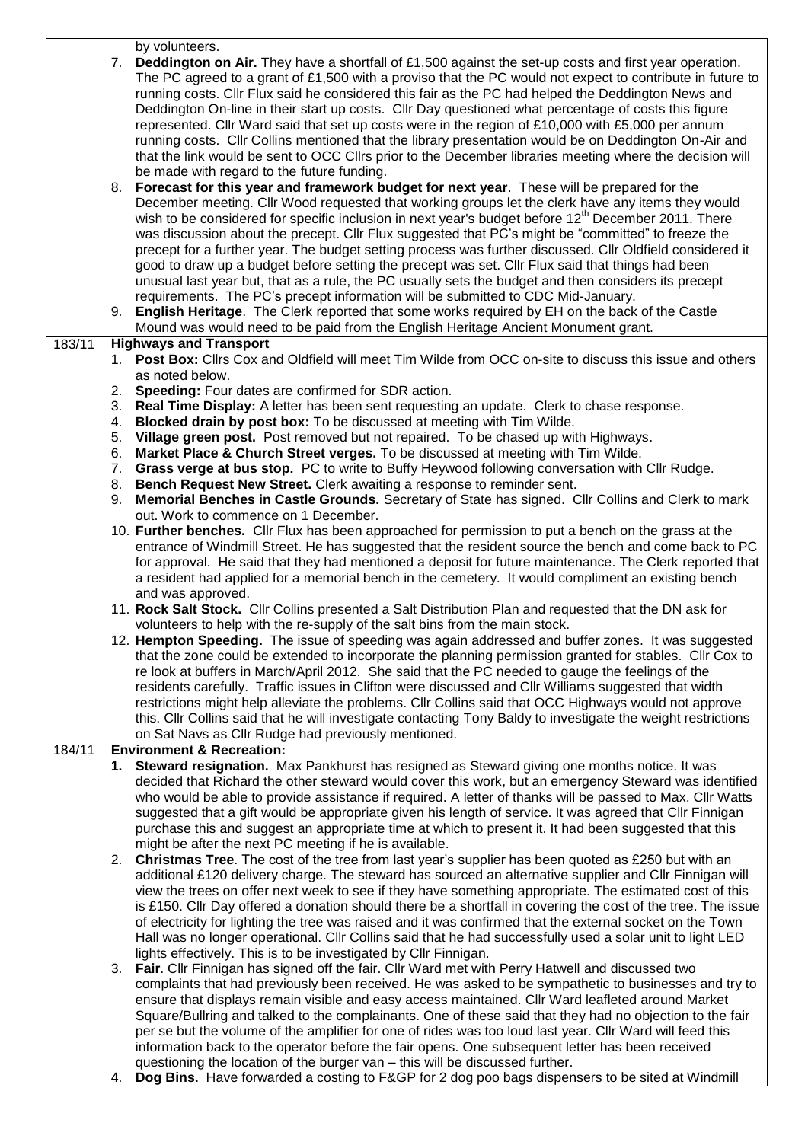|        | by volunteers.                                                                                           |                                                                                                                                                                                                                           |  |  |  |  |  |
|--------|----------------------------------------------------------------------------------------------------------|---------------------------------------------------------------------------------------------------------------------------------------------------------------------------------------------------------------------------|--|--|--|--|--|
|        | 7. Deddington on Air. They have a shortfall of £1,500 against the set-up costs and first year operation. |                                                                                                                                                                                                                           |  |  |  |  |  |
|        |                                                                                                          | The PC agreed to a grant of £1,500 with a proviso that the PC would not expect to contribute in future to                                                                                                                 |  |  |  |  |  |
|        |                                                                                                          | running costs. Cllr Flux said he considered this fair as the PC had helped the Deddington News and                                                                                                                        |  |  |  |  |  |
|        |                                                                                                          | Deddington On-line in their start up costs. Cllr Day questioned what percentage of costs this figure                                                                                                                      |  |  |  |  |  |
|        |                                                                                                          | represented. Cllr Ward said that set up costs were in the region of £10,000 with £5,000 per annum                                                                                                                         |  |  |  |  |  |
|        |                                                                                                          | running costs. Cllr Collins mentioned that the library presentation would be on Deddington On-Air and                                                                                                                     |  |  |  |  |  |
|        |                                                                                                          | that the link would be sent to OCC Cllrs prior to the December libraries meeting where the decision will                                                                                                                  |  |  |  |  |  |
|        | 8.                                                                                                       | be made with regard to the future funding.<br>Forecast for this year and framework budget for next year. These will be prepared for the                                                                                   |  |  |  |  |  |
|        |                                                                                                          | December meeting. Cllr Wood requested that working groups let the clerk have any items they would                                                                                                                         |  |  |  |  |  |
|        |                                                                                                          | wish to be considered for specific inclusion in next year's budget before 12 <sup>th</sup> December 2011. There                                                                                                           |  |  |  |  |  |
|        |                                                                                                          | was discussion about the precept. Cllr Flux suggested that PC's might be "committed" to freeze the                                                                                                                        |  |  |  |  |  |
|        |                                                                                                          | precept for a further year. The budget setting process was further discussed. Cllr Oldfield considered it                                                                                                                 |  |  |  |  |  |
|        |                                                                                                          | good to draw up a budget before setting the precept was set. Cllr Flux said that things had been                                                                                                                          |  |  |  |  |  |
|        |                                                                                                          | unusual last year but, that as a rule, the PC usually sets the budget and then considers its precept                                                                                                                      |  |  |  |  |  |
|        |                                                                                                          | requirements. The PC's precept information will be submitted to CDC Mid-January.                                                                                                                                          |  |  |  |  |  |
|        |                                                                                                          | 9. English Heritage. The Clerk reported that some works required by EH on the back of the Castle                                                                                                                          |  |  |  |  |  |
|        |                                                                                                          | Mound was would need to be paid from the English Heritage Ancient Monument grant.                                                                                                                                         |  |  |  |  |  |
| 183/11 |                                                                                                          | <b>Highways and Transport</b>                                                                                                                                                                                             |  |  |  |  |  |
|        |                                                                                                          | 1. Post Box: Cllrs Cox and Oldfield will meet Tim Wilde from OCC on-site to discuss this issue and others                                                                                                                 |  |  |  |  |  |
|        |                                                                                                          | as noted below.                                                                                                                                                                                                           |  |  |  |  |  |
|        |                                                                                                          | 2. Speeding: Four dates are confirmed for SDR action.                                                                                                                                                                     |  |  |  |  |  |
|        |                                                                                                          | 3. Real Time Display: A letter has been sent requesting an update. Clerk to chase response.                                                                                                                               |  |  |  |  |  |
|        |                                                                                                          | 4. Blocked drain by post box: To be discussed at meeting with Tim Wilde.                                                                                                                                                  |  |  |  |  |  |
|        | 5.                                                                                                       | Village green post. Post removed but not repaired. To be chased up with Highways.                                                                                                                                         |  |  |  |  |  |
|        | 6.<br>7.                                                                                                 | Market Place & Church Street verges. To be discussed at meeting with Tim Wilde.<br>Grass verge at bus stop. PC to write to Buffy Heywood following conversation with Cllr Rudge.                                          |  |  |  |  |  |
|        | 8.                                                                                                       | Bench Request New Street. Clerk awaiting a response to reminder sent.                                                                                                                                                     |  |  |  |  |  |
|        | 9.                                                                                                       | Memorial Benches in Castle Grounds. Secretary of State has signed. Cllr Collins and Clerk to mark                                                                                                                         |  |  |  |  |  |
|        |                                                                                                          | out. Work to commence on 1 December.                                                                                                                                                                                      |  |  |  |  |  |
|        |                                                                                                          | 10. Further benches. Cllr Flux has been approached for permission to put a bench on the grass at the                                                                                                                      |  |  |  |  |  |
|        |                                                                                                          | entrance of Windmill Street. He has suggested that the resident source the bench and come back to PC                                                                                                                      |  |  |  |  |  |
|        |                                                                                                          | for approval. He said that they had mentioned a deposit for future maintenance. The Clerk reported that                                                                                                                   |  |  |  |  |  |
|        |                                                                                                          | a resident had applied for a memorial bench in the cemetery. It would compliment an existing bench                                                                                                                        |  |  |  |  |  |
|        |                                                                                                          | and was approved.                                                                                                                                                                                                         |  |  |  |  |  |
|        |                                                                                                          | 11. Rock Salt Stock. Cllr Collins presented a Salt Distribution Plan and requested that the DN ask for                                                                                                                    |  |  |  |  |  |
|        |                                                                                                          | volunteers to help with the re-supply of the salt bins from the main stock.                                                                                                                                               |  |  |  |  |  |
|        |                                                                                                          | 12. Hempton Speeding. The issue of speeding was again addressed and buffer zones. It was suggested                                                                                                                        |  |  |  |  |  |
|        |                                                                                                          | that the zone could be extended to incorporate the planning permission granted for stables. Cllr Cox to                                                                                                                   |  |  |  |  |  |
|        |                                                                                                          | re look at buffers in March/April 2012. She said that the PC needed to gauge the feelings of the                                                                                                                          |  |  |  |  |  |
|        |                                                                                                          | residents carefully. Traffic issues in Clifton were discussed and Cllr Williams suggested that width<br>restrictions might help alleviate the problems. Cllr Collins said that OCC Highways would not approve             |  |  |  |  |  |
|        |                                                                                                          | this. Cllr Collins said that he will investigate contacting Tony Baldy to investigate the weight restrictions                                                                                                             |  |  |  |  |  |
|        |                                                                                                          | on Sat Navs as Cllr Rudge had previously mentioned.                                                                                                                                                                       |  |  |  |  |  |
| 184/11 |                                                                                                          | <b>Environment &amp; Recreation:</b>                                                                                                                                                                                      |  |  |  |  |  |
|        |                                                                                                          | 1. Steward resignation. Max Pankhurst has resigned as Steward giving one months notice. It was                                                                                                                            |  |  |  |  |  |
|        |                                                                                                          | decided that Richard the other steward would cover this work, but an emergency Steward was identified                                                                                                                     |  |  |  |  |  |
|        |                                                                                                          | who would be able to provide assistance if required. A letter of thanks will be passed to Max. Cllr Watts                                                                                                                 |  |  |  |  |  |
|        |                                                                                                          | suggested that a gift would be appropriate given his length of service. It was agreed that Cllr Finnigan                                                                                                                  |  |  |  |  |  |
|        |                                                                                                          | purchase this and suggest an appropriate time at which to present it. It had been suggested that this                                                                                                                     |  |  |  |  |  |
|        |                                                                                                          | might be after the next PC meeting if he is available.                                                                                                                                                                    |  |  |  |  |  |
|        | 2.                                                                                                       | Christmas Tree. The cost of the tree from last year's supplier has been quoted as £250 but with an                                                                                                                        |  |  |  |  |  |
|        |                                                                                                          | additional £120 delivery charge. The steward has sourced an alternative supplier and Cllr Finnigan will                                                                                                                   |  |  |  |  |  |
|        |                                                                                                          | view the trees on offer next week to see if they have something appropriate. The estimated cost of this                                                                                                                   |  |  |  |  |  |
|        |                                                                                                          | is £150. Cllr Day offered a donation should there be a shortfall in covering the cost of the tree. The issue<br>of electricity for lighting the tree was raised and it was confirmed that the external socket on the Town |  |  |  |  |  |
|        |                                                                                                          | Hall was no longer operational. Cllr Collins said that he had successfully used a solar unit to light LED                                                                                                                 |  |  |  |  |  |
|        |                                                                                                          | lights effectively. This is to be investigated by Cllr Finnigan.                                                                                                                                                          |  |  |  |  |  |
|        | 3.                                                                                                       | Fair. Cllr Finnigan has signed off the fair. Cllr Ward met with Perry Hatwell and discussed two                                                                                                                           |  |  |  |  |  |
|        |                                                                                                          | complaints that had previously been received. He was asked to be sympathetic to businesses and try to                                                                                                                     |  |  |  |  |  |
|        |                                                                                                          | ensure that displays remain visible and easy access maintained. Cllr Ward leafleted around Market                                                                                                                         |  |  |  |  |  |
|        |                                                                                                          | Square/Bullring and talked to the complainants. One of these said that they had no objection to the fair                                                                                                                  |  |  |  |  |  |
|        | per se but the volume of the amplifier for one of rides was too loud last year. Cllr Ward will feed this |                                                                                                                                                                                                                           |  |  |  |  |  |
|        |                                                                                                          | information back to the operator before the fair opens. One subsequent letter has been received                                                                                                                           |  |  |  |  |  |
|        |                                                                                                          | questioning the location of the burger van - this will be discussed further.                                                                                                                                              |  |  |  |  |  |
|        | 4.                                                                                                       | Dog Bins. Have forwarded a costing to F&GP for 2 dog poo bags dispensers to be sited at Windmill                                                                                                                          |  |  |  |  |  |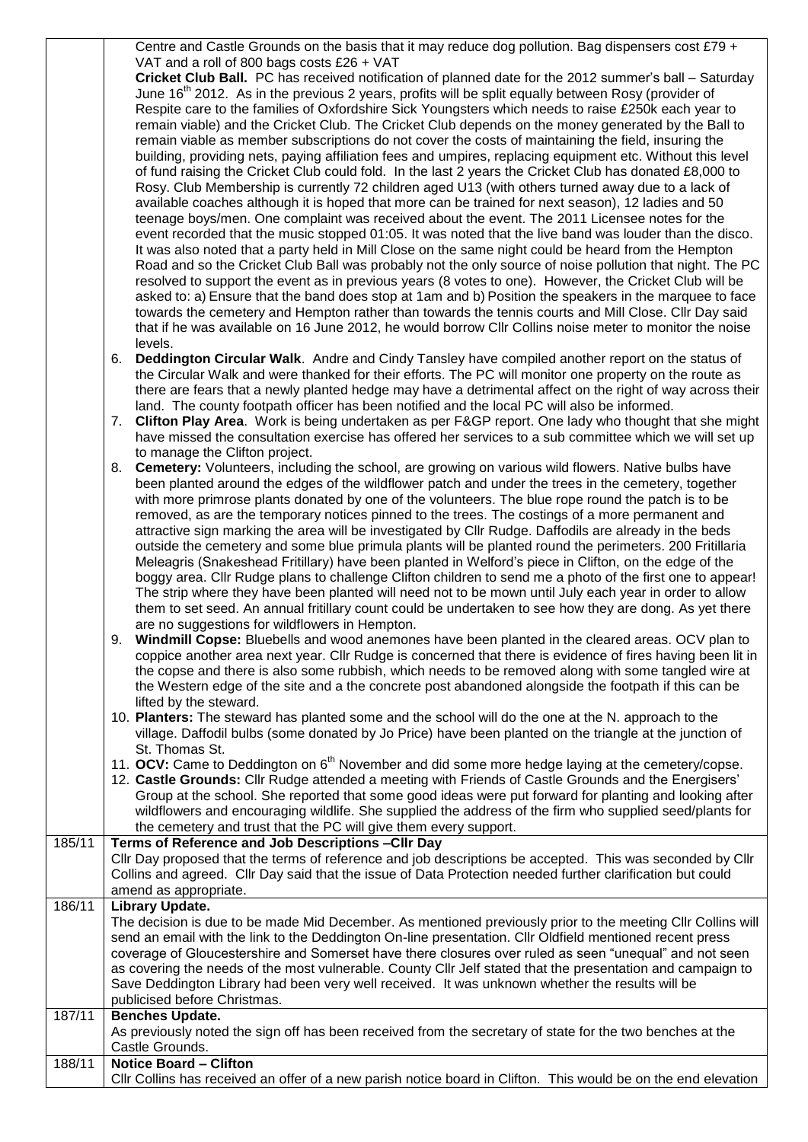Centre and Castle Grounds on the basis that it may reduce dog pollution. Bag dispensers cost £79 + VAT and a roll of 800 bags costs £26 + VAT

**Cricket Club Ball.** PC has received notification of planned date for the 2012 summer's ball – Saturday June  $16<sup>th</sup>$  2012. As in the previous 2 years, profits will be split equally between Rosy (provider of Respite care to the families of Oxfordshire Sick Youngsters which needs to raise £250k each year to remain viable) and the Cricket Club. The Cricket Club depends on the money generated by the Ball to remain viable as member subscriptions do not cover the costs of maintaining the field, insuring the building, providing nets, paying affiliation fees and umpires, replacing equipment etc. Without this level of fund raising the Cricket Club could fold. In the last 2 years the Cricket Club has donated £8,000 to Rosy. Club Membership is currently 72 children aged U13 (with others turned away due to a lack of available coaches although it is hoped that more can be trained for next season), 12 ladies and 50 teenage boys/men. One complaint was received about the event. The 2011 Licensee notes for the event recorded that the music stopped 01:05. It was noted that the live band was louder than the disco. It was also noted that a party held in Mill Close on the same night could be heard from the Hempton Road and so the Cricket Club Ball was probably not the only source of noise pollution that night. The PC resolved to support the event as in previous years (8 votes to one). However, the Cricket Club will be asked to: a) Ensure that the band does stop at 1am and b) Position the speakers in the marquee to face towards the cemetery and Hempton rather than towards the tennis courts and Mill Close. Cllr Day said that if he was available on 16 June 2012, he would borrow Cllr Collins noise meter to monitor the noise levels.

- 6. **Deddington Circular Walk**. Andre and Cindy Tansley have compiled another report on the status of the Circular Walk and were thanked for their efforts. The PC will monitor one property on the route as there are fears that a newly planted hedge may have a detrimental affect on the right of way across their land. The county footpath officer has been notified and the local PC will also be informed.
- 7. **Clifton Play Area**. Work is being undertaken as per F&GP report. One lady who thought that she might have missed the consultation exercise has offered her services to a sub committee which we will set up to manage the Clifton project.
- 8. **Cemetery:** Volunteers, including the school, are growing on various wild flowers. Native bulbs have been planted around the edges of the wildflower patch and under the trees in the cemetery, together with more primrose plants donated by one of the volunteers. The blue rope round the patch is to be removed, as are the temporary notices pinned to the trees. The costings of a more permanent and attractive sign marking the area will be investigated by Cllr Rudge. Daffodils are already in the beds outside the cemetery and some blue primula plants will be planted round the perimeters. 200 Fritillaria Meleagris (Snakeshead Fritillary) have been planted in Welford's piece in Clifton, on the edge of the boggy area. Cllr Rudge plans to challenge Clifton children to send me a photo of the first one to appear! The strip where they have been planted will need not to be mown until July each year in order to allow them to set seed. An annual fritillary count could be undertaken to see how they are dong. As yet there are no suggestions for wildflowers in Hempton.
- 9. **Windmill Copse:** Bluebells and wood anemones have been planted in the cleared areas. OCV plan to coppice another area next year. Cllr Rudge is concerned that there is evidence of fires having been lit in the copse and there is also some rubbish, which needs to be removed along with some tangled wire at the Western edge of the site and a the concrete post abandoned alongside the footpath if this can be lifted by the steward.
- 10. **Planters:** The steward has planted some and the school will do the one at the N. approach to the village. Daffodil bulbs (some donated by Jo Price) have been planted on the triangle at the junction of St. Thomas St.
- 11. **OCV:** Came to Deddington on 6<sup>th</sup> November and did some more hedge laying at the cemetery/copse.
- 12. **Castle Grounds:** Cllr Rudge attended a meeting with Friends of Castle Grounds and the Energisers' Group at the school. She reported that some good ideas were put forward for planting and looking after wildflowers and encouraging wildlife. She supplied the address of the firm who supplied seed/plants for the cemetery and trust that the PC will give them every support.

| 185/11 | Terms of Reference and Job Descriptions - Cllr Day<br>Cllr Day proposed that the terms of reference and job descriptions be accepted. This was seconded by Cllr<br>Collins and agreed. Cllr Day said that the issue of Data Protection needed further clarification but could<br>amend as appropriate. |
|--------|--------------------------------------------------------------------------------------------------------------------------------------------------------------------------------------------------------------------------------------------------------------------------------------------------------|
| 186/11 | Library Update.                                                                                                                                                                                                                                                                                        |
|        | The decision is due to be made Mid December. As mentioned previously prior to the meeting CIIr Collins will                                                                                                                                                                                            |
|        | send an email with the link to the Deddington On-line presentation. Cllr Oldfield mentioned recent press                                                                                                                                                                                               |
|        | coverage of Gloucestershire and Somerset have there closures over ruled as seen "unequal" and not seen                                                                                                                                                                                                 |
|        | as covering the needs of the most vulnerable. County Cllr Jelf stated that the presentation and campaign to                                                                                                                                                                                            |
|        | Save Deddington Library had been very well received. It was unknown whether the results will be                                                                                                                                                                                                        |
|        | publicised before Christmas.                                                                                                                                                                                                                                                                           |
| 187/11 | <b>Benches Update.</b>                                                                                                                                                                                                                                                                                 |
|        | As previously noted the sign off has been received from the secretary of state for the two benches at the                                                                                                                                                                                              |
|        | Castle Grounds.                                                                                                                                                                                                                                                                                        |
| 188/11 | <b>Notice Board - Clifton</b>                                                                                                                                                                                                                                                                          |
|        | CIIr Collins has received an offer of a new parish notice board in Clifton. This would be on the end elevation                                                                                                                                                                                         |